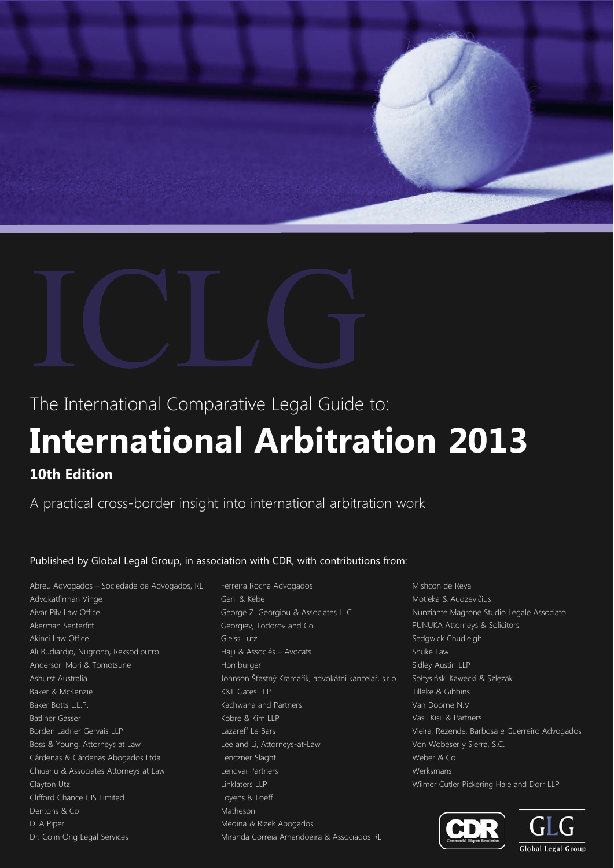

The International Comparative Legal Guide to:

# **International Arbitration 2013 10th Edition**

A practical cross-border insight into international arbitration work

Published by Global Legal Group, in association with CDR, with contributions from:

Abreu Advogados – Sociedade de Advogados, RL. Advokatfirman Vinge Aivar Pilv Law Office Akerman Senterfitt Akinci Law Office Ali Budiardjo, Nugroho, Reksodiputro Anderson Mori & Tomotsune Ashurst Australia Baker & McKenzie Baker Botts L.L.P. Batliner Gasser Borden Ladner Gervais LLP Boss & Young, Attorneys at Law Cárdenas & Cárdenas Abogados Ltda. Chiuariu & Associates Attorneys at Law Clayton Utz Clifford Chance CIS Limited Dentons & Co DLA Piper Dr. Colin Ong Legal Services

Ferreira Rocha Advogados Geni & Kebe George Z. Georgiou & Associates LLC Georgiev, Todorov and Co. Gleiss Lutz Hajji & Associés – Avocats Homburger Johnson Šťastný Kramařík, advokátní kancelář, s.r.o. K&L Gates LLP Kachwaha and Partners Kobre & Kim LLP Lazareff Le Bars Lee and Li, Attorneys-at-Law Lenczner Slaght Lendvai Partners Linklaters LLP Loyens & Loeff Matheson Medina & Rizek Abogados Miranda Correia Amendoeira & Associados RL

Mishcon de Reya Motieka & Audzevičius Nunziante Magrone Studio Legale Associato PUNUKA Attorneys & Solicitors Sedgwick Chudleigh Shuke Law Sidley Austin LLP Sołtysiński Kawecki & Szlęzak Tilleke & Gibbins Van Doorne N.V. Vasil Kisil & Partners Vieira, Rezende, Barbosa e Guerreiro Advogados Von Wobeser y Sierra, S.C. Weber & Co. Werksmans Wilmer Cutler Pickering Hale and Dorr LLP



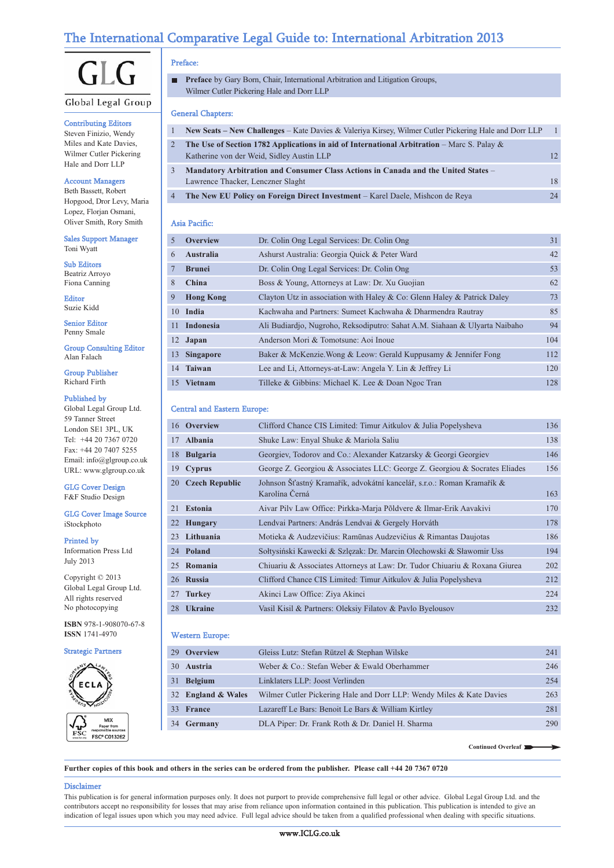## The International Comparative Legal Guide to: International Arbitration 2013



#### Global Legal Group

#### Contributing Editors

Steven Finizio, Wendy Miles and Kate Davies, Wilmer Cutler Pickering Hale and Dorr LLP

#### Account Managers

Beth Bassett, Robert Hopgood, Dror Levy, Maria Lopez, Florian Osmani, Oliver Smith, Rory Smith

Sales Support Manager Toni Wyatt

Sub Editors Beatriz Arroyo Fiona Canning

Editor Suzie Kidd

Senior Editor Penny Smale

Group Consulting Editor Alan Falach

Group Publisher Richard Firth

#### Published by

Global Legal Group Ltd. 59 Tanner Street London SE1 3PL, UK Tel: +44 20 7367 0720 Fax: +44 20 7407 5255 Email: info@glgroup.co.uk URL: www.glgroup.co.uk

#### GLG Cover Design F&F Studio Design

GLG Cover Image Source iStockphoto

#### Printed by

Information Press Ltd July 2013

Copyright © 2013 Global Legal Group Ltd. All rights reserved No photocopying

**ISBN** 978-1-908070-67-8 **ISSN** 1741-4970

#### Strategic Partners



#### Preface:

**Preface** by Gary Born, Chair, International Arbitration and Litigation Groups, п Wilmer Cutler Pickering Hale and Dorr LLP

#### General Chapters:

| $\mathbf{1}$ | New Seats – New Challenges – Kate Davies & Valeriya Kirsey, Wilmer Cutler Pickering Hale and Dorr LLP                                      | $\overline{1}$ |
|--------------|--------------------------------------------------------------------------------------------------------------------------------------------|----------------|
|              | The Use of Section 1782 Applications in aid of International Arbitration – Marc S. Palay $\&$<br>Katherine von der Weid, Sidley Austin LLP | 12.            |
| 3            | Mandatory Arbitration and Consumer Class Actions in Canada and the United States –<br>Lawrence Thacker, Lenczner Slaght                    | 18             |
| $4 \quad$    | The New EU Policy on Foreign Direct Investment – Karel Daele, Mishcon de Reya                                                              | 24             |

#### Asia Pacific:

| $\overline{5}$   | <b>Overview</b>  | Dr. Colin Ong Legal Services: Dr. Colin Ong                                | 31  |
|------------------|------------------|----------------------------------------------------------------------------|-----|
| 6                | <b>Australia</b> | Ashurst Australia: Georgia Quick & Peter Ward                              | 42  |
|                  | <b>Brunei</b>    | Dr. Colin Ong Legal Services: Dr. Colin Ong                                | 53  |
| 8                | China            | Boss & Young, Attorneys at Law: Dr. Xu Guojian                             | 62  |
| 9                | <b>Hong Kong</b> | Clayton Utz in association with Haley & Co: Glenn Haley & Patrick Daley    | 73  |
|                  | 10 India         | Kachwaha and Partners: Sumeet Kachwaha & Dharmendra Rautray                | 85  |
| 11               | <b>Indonesia</b> | Ali Budiardjo, Nugroho, Reksodiputro: Sahat A.M. Siahaan & Ulyarta Naibaho | 94  |
|                  | 12 Japan         | Anderson Mori & Tomotsune: Aoi Inoue                                       | 104 |
| 13               | <b>Singapore</b> | Baker & McKenzie. Wong & Leow: Gerald Kuppusamy & Jennifer Fong            | 112 |
| 14               | <b>Taiwan</b>    | Lee and Li, Attorneys-at-Law: Angela Y. Lin & Jeffrey Li                   | 120 |
| 15 <sup>15</sup> | <b>Vietnam</b>   | Tilleke & Gibbins: Michael K. Lee & Doan Ngoc Tran                         | 128 |

#### Central and Eastern Europe:

| 16 Overview       | Clifford Chance CIS Limited: Timur Aitkulov & Julia Popelysheva                          | 136 |
|-------------------|------------------------------------------------------------------------------------------|-----|
| 17 Albania        | Shuke Law: Enyal Shuke & Mariola Saliu                                                   | 138 |
| 18 Bulgaria       | Georgiev, Todorov and Co.: Alexander Katzarsky & Georgi Georgiev                         | 146 |
| 19 Cyprus         | George Z. Georgiou & Associates LLC: George Z. Georgiou & Socrates Eliades               | 156 |
| 20 Czech Republic | Johnson Šťastný Kramařík, advokátní kancelář, s.r.o.: Roman Kramařík &<br>Karolína Černá | 163 |
| 21 Estonia        | Aivar Pilv Law Office: Pirkka-Marja Põldvere & Ilmar-Erik Aavakivi                       | 170 |
| 22 Hungary        | Lendvai Partners: András Lendvai & Gergely Horváth                                       | 178 |
| 23 Lithuania      | Motieka & Audzevičius: Ramūnas Audzevičius & Rimantas Daujotas                           | 186 |
| 24 Poland         | Sołtysiński Kawecki & Szlęzak: Dr. Marcin Olechowski & Sławomir Uss                      | 194 |
| 25 Romania        | Chiuariu & Associates Attorneys at Law: Dr. Tudor Chiuariu & Roxana Giurea               | 202 |
| 26 Russia         | Clifford Chance CIS Limited: Timur Aitkulov & Julia Popelysheva                          | 212 |
| 27 Turkey         | Akinci Law Office: Ziya Akinci                                                           | 224 |
| 28 Ukraine        | Vasil Kisil & Partners: Oleksiy Filatov & Pavlo Byelousov                                | 232 |
|                   |                                                                                          |     |

#### Western Europe:

| 29 Overview        | Gleiss Lutz: Stefan Rützel & Stephan Wilske                          | 241 |
|--------------------|----------------------------------------------------------------------|-----|
| 30 Austria         | Weber & Co.: Stefan Weber & Ewald Oberhammer                         | 246 |
| 31 Belgium         | Linklaters LLP: Joost Verlinden                                      | 254 |
| 32 England & Wales | Wilmer Cutler Pickering Hale and Dorr LLP: Wendy Miles & Kate Davies | 263 |
| 33 France          | Lazareff Le Bars: Benoit Le Bars & William Kirtley                   | 281 |
| 34 Germany         | DLA Piper: Dr. Frank Roth & Dr. Daniel H. Sharma                     | 290 |

**Continued Overleaf**

#### **Further copies of this book and others in the series can be ordered from the publisher. Please call +44 20 7367 0720**

#### Disclaimer

This publication is for general information purposes only. It does not purport to provide comprehensive full legal or other advice. Global Legal Group Ltd. and the contributors accept no responsibility for losses that may arise from reliance upon information contained in this publication. This publication is intended to give an indication of legal issues upon which you may need advice. Full legal advice should be taken from a qualified professional when dealing with specific situations.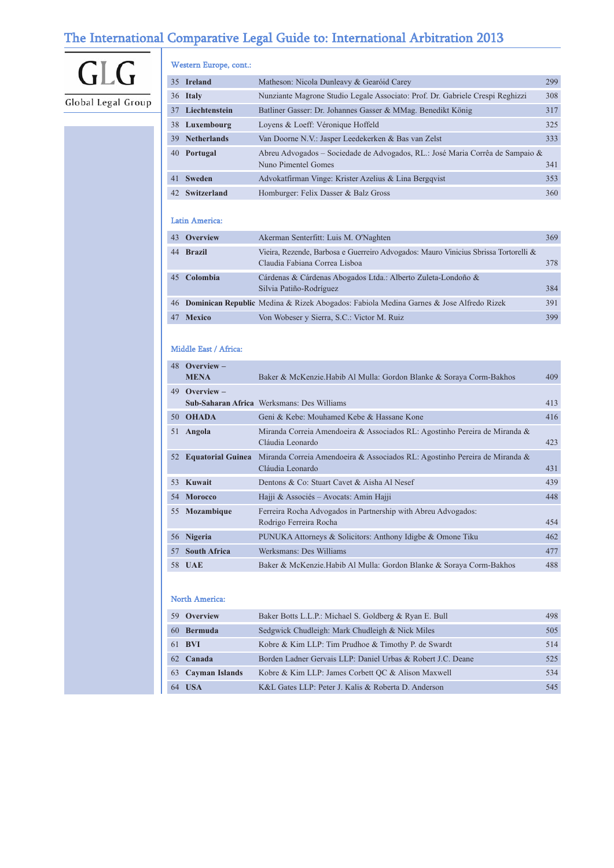## The International Comparative Legal Guide to: International Arbitration 2013

# GLG Global Legal Group

#### Western Europe, cont.:

|    | 35 Ireland       | Matheson: Nicola Dunleavy & Gearóid Carey                                     | 299 |
|----|------------------|-------------------------------------------------------------------------------|-----|
|    | 36 Italy         | Nunziante Magrone Studio Legale Associato: Prof. Dr. Gabriele Crespi Reghizzi | 308 |
|    | 37 Liechtenstein | Batliner Gasser: Dr. Johannes Gasser & MMag. Benedikt König                   | 317 |
|    | 38 Luxembourg    | Loyens & Loeff: Véronique Hoffeld                                             | 325 |
|    | 39 Netherlands   | Van Doorne N.V.: Jasper Leedekerken & Bas van Zelst                           | 333 |
| 40 | Portugal         | Abreu Advogados – Sociedade de Advogados, RL.: José Maria Corrêa de Sampaio & |     |
|    |                  | Nuno Pimentel Gomes                                                           | 341 |
|    | 41 Sweden        | Advokatfirman Vinge: Krister Azelius & Lina Bergqvist                         | 353 |
|    | 42 Switzerland   | Homburger: Felix Dasser & Balz Gross                                          | 360 |

#### Latin America:

| 43 Overview | Akerman Senterfitt: Luis M. O'Naghten                                                                                | 369 |
|-------------|----------------------------------------------------------------------------------------------------------------------|-----|
| 44 Brazil   | Vieira, Rezende, Barbosa e Guerreiro Advogados: Mauro Vinicius Sbrissa Tortorelli &<br>Claudia Fabiana Correa Lisboa | 378 |
| 45 Colombia | Cárdenas & Cárdenas Abogados Ltda.: Alberto Zuleta-Londoño &<br>Silvia Patiño-Rodríguez                              | 384 |
|             | 46 Dominican Republic Medina & Rizek Abogados: Fabiola Medina Garnes & Jose Alfredo Rizek                            | 391 |
| 47 Mexico   | Von Wobeser y Sierra, S.C.: Victor M. Ruiz                                                                           | 399 |

#### Middle East / Africa:

| 48 | Overview –               |                                                                                                |     |
|----|--------------------------|------------------------------------------------------------------------------------------------|-----|
|    | <b>MENA</b>              | Baker & McKenzie. Habib Al Mulla: Gordon Blanke & Soraya Corm-Bakhos                           | 409 |
| 49 | Overview $-$             |                                                                                                |     |
|    |                          | <b>Sub-Saharan Africa</b> Werksmans: Des Williams                                              | 413 |
| 50 | <b>OHADA</b>             | Geni & Kebe: Mouhamed Kebe & Hassane Kone                                                      | 416 |
| 51 | Angola                   | Miranda Correia Amendoeira & Associados RL: Agostinho Pereira de Miranda &<br>Cláudia Leonardo | 423 |
| 52 | <b>Equatorial Guinea</b> | Miranda Correia Amendoeira & Associados RL: Agostinho Pereira de Miranda &<br>Cláudia Leonardo | 431 |
| 53 | Kuwait                   | Dentons & Co: Stuart Cavet & Aisha Al Nesef                                                    | 439 |
| 54 | <b>Morocco</b>           | Hajji & Associés - Avocats: Amin Hajji                                                         | 448 |
| 55 | Mozambique               | Ferreira Rocha Advogados in Partnership with Abreu Advogados:<br>Rodrigo Ferreira Rocha        | 454 |
| 56 | <b>Nigeria</b>           | PUNUKA Attorneys & Solicitors: Anthony Idigbe & Omone Tiku                                     | 462 |
| 57 | <b>South Africa</b>      | Werksmans: Des Williams                                                                        | 477 |
| 58 | <b>UAE</b>               | Baker & McKenzie. Habib Al Mulla: Gordon Blanke & Soraya Corm-Bakhos                           | 488 |
|    |                          |                                                                                                |     |

#### North America:

| 59 Overview       | Baker Botts L.L.P.: Michael S. Goldberg & Ryan E. Bull      | 498 |
|-------------------|-------------------------------------------------------------|-----|
| 60 Bermuda        | Sedgwick Chudleigh: Mark Chudleigh & Nick Miles             | 505 |
| 61 <b>BVI</b>     | Kobre & Kim LLP: Tim Prudhoe & Timothy P. de Swardt         | 514 |
| 62 Canada         | Borden Ladner Gervais LLP: Daniel Urbas & Robert J.C. Deane | 525 |
| 63 Cayman Islands | Kobre & Kim LLP: James Corbett OC & Alison Maxwell          | 534 |
| 64 USA            | K&L Gates LLP: Peter J. Kalis & Roberta D. Anderson         | 545 |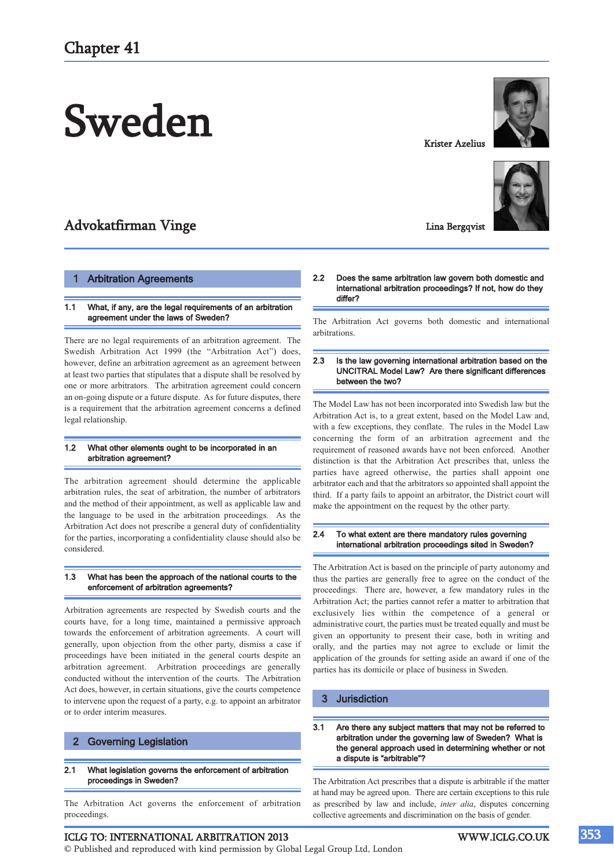# Sweden

## Advokatfirman Vinge

#### **Arbitration Agreements**

#### 1.1 What, if any, are the legal requirements of an arbitration agreement under the laws of Sweden?

There are no legal requirements of an arbitration agreement. The Swedish Arbitration Act 1999 (the "Arbitration Act") does, however, define an arbitration agreement as an agreement between at least two parties that stipulates that a dispute shall be resolved by one or more arbitrators. The arbitration agreement could concern an on-going dispute or a future dispute. As for future disputes, there is a requirement that the arbitration agreement concerns a defined legal relationship.

#### 1.2 What other elements ought to be incorporated in an arbitration agreement?

The arbitration agreement should determine the applicable arbitration rules, the seat of arbitration, the number of arbitrators and the method of their appointment, as well as applicable law and the language to be used in the arbitration proceedings. As the Arbitration Act does not prescribe a general duty of confidentiality for the parties, incorporating a confidentiality clause should also be considered.

#### 1.3 What has been the approach of the national courts to the enforcement of arbitration agreements?

Arbitration agreements are respected by Swedish courts and the courts have, for a long time, maintained a permissive approach towards the enforcement of arbitration agreements. A court will generally, upon objection from the other party, dismiss a case if proceedings have been initiated in the general courts despite an arbitration agreement. Arbitration proceedings are generally conducted without the intervention of the courts. The Arbitration Act does, however, in certain situations, give the courts competence to intervene upon the request of a party, e.g. to appoint an arbitrator or to order interim measures.

#### 2 Governing Legislation

2.1 What legislation governs the enforcement of arbitration proceedings in Sweden?

The Arbitration Act governs the enforcement of arbitration proceedings.

#### ICLG TO: INTERNATIONAL ARBITRATION 2013 WWW.ICLG.CO.UK

© Published and reproduced with kind permission by Global Legal Group Ltd, London



The Arbitration Act governs both domestic and international arbitrations.

#### 2.3 Is the law governing international arbitration based on the UNCITRAL Model Law? Are there significant differences between the two?

The Model Law has not been incorporated into Swedish law but the Arbitration Act is, to a great extent, based on the Model Law and, with a few exceptions, they conflate. The rules in the Model Law concerning the form of an arbitration agreement and the requirement of reasoned awards have not been enforced. Another distinction is that the Arbitration Act prescribes that, unless the parties have agreed otherwise, the parties shall appoint one arbitrator each and that the arbitrators so appointed shall appoint the third. If a party fails to appoint an arbitrator, the District court will make the appointment on the request by the other party.

#### 2.4 To what extent are there mandatory rules governing international arbitration proceedings sited in Sweden?

The Arbitration Act is based on the principle of party autonomy and thus the parties are generally free to agree on the conduct of the proceedings. There are, however, a few mandatory rules in the Arbitration Act; the parties cannot refer a matter to arbitration that exclusively lies within the competence of a general or administrative court, the parties must be treated equally and must be given an opportunity to present their case, both in writing and orally, and the parties may not agree to exclude or limit the application of the grounds for setting aside an award if one of the parties has its domicile or place of business in Sweden.

#### 3 Jurisdiction

#### 3.1 Are there any subject matters that may not be referred to arbitration under the governing law of Sweden? What is the general approach used in determining whether or not a dispute is "arbitrable"?

The Arbitration Act prescribes that a dispute is arbitrable if the matter at hand may be agreed upon. There are certain exceptions to this rule as prescribed by law and include, *inter alia*, disputes concerning collective agreements and discrimination on the basis of gender.

Krister Azelius

Lina Bergqvist

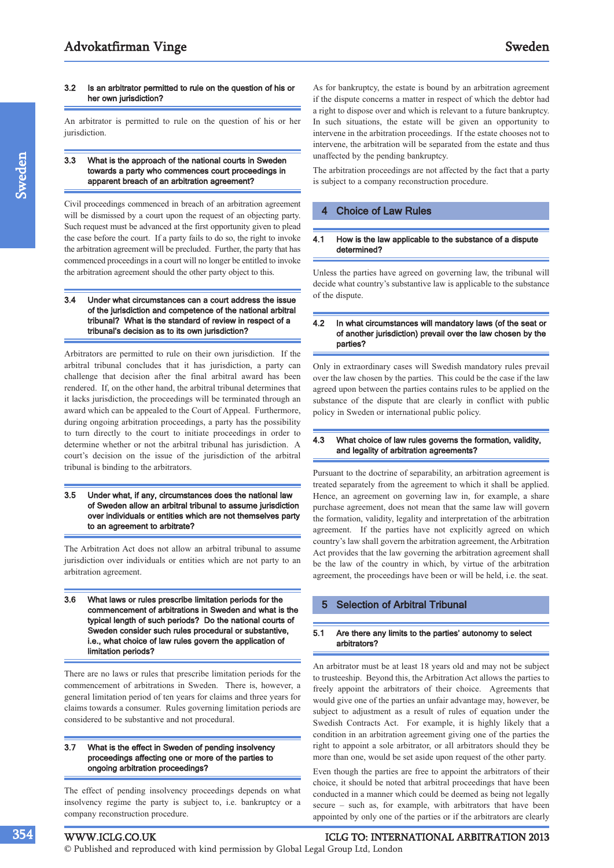#### 3.2 Is an arbitrator permitted to rule on the question of his or her own jurisdiction?

An arbitrator is permitted to rule on the question of his or her jurisdiction.

#### 3.3 What is the approach of the national courts in Sweden towards a party who commences court proceedings in apparent breach of an arbitration agreement?

Civil proceedings commenced in breach of an arbitration agreement will be dismissed by a court upon the request of an objecting party. Such request must be advanced at the first opportunity given to plead the case before the court. If a party fails to do so, the right to invoke the arbitration agreement will be precluded. Further, the party that has commenced proceedings in a court will no longer be entitled to invoke the arbitration agreement should the other party object to this.

#### 3.4 Under what circumstances can a court address the issue of the jurisdiction and competence of the national arbitral tribunal? What is the standard of review in respect of a tribunal's decision as to its own jurisdiction?

Arbitrators are permitted to rule on their own jurisdiction. If the arbitral tribunal concludes that it has jurisdiction, a party can challenge that decision after the final arbitral award has been rendered. If, on the other hand, the arbitral tribunal determines that it lacks jurisdiction, the proceedings will be terminated through an award which can be appealed to the Court of Appeal. Furthermore, during ongoing arbitration proceedings, a party has the possibility to turn directly to the court to initiate proceedings in order to determine whether or not the arbitral tribunal has jurisdiction. A court's decision on the issue of the jurisdiction of the arbitral tribunal is binding to the arbitrators.

#### 3.5 Under what, if any, circumstances does the national law of Sweden allow an arbitral tribunal to assume jurisdiction over individuals or entities which are not themselves party to an agreement to arbitrate?

The Arbitration Act does not allow an arbitral tribunal to assume jurisdiction over individuals or entities which are not party to an arbitration agreement.

3.6 What laws or rules prescribe limitation periods for the commencement of arbitrations in Sweden and what is the typical length of such periods? Do the national courts of Sweden consider such rules procedural or substantive, i.e., what choice of law rules govern the application of limitation periods?

There are no laws or rules that prescribe limitation periods for the commencement of arbitrations in Sweden. There is, however, a general limitation period of ten years for claims and three years for claims towards a consumer. Rules governing limitation periods are considered to be substantive and not procedural.

#### 3.7 What is the effect in Sweden of pending insolvency proceedings affecting one or more of the parties to ongoing arbitration proceedings?

The effect of pending insolvency proceedings depends on what insolvency regime the party is subject to, i.e. bankruptcy or a company reconstruction procedure.

As for bankruptcy, the estate is bound by an arbitration agreement if the dispute concerns a matter in respect of which the debtor had a right to dispose over and which is relevant to a future bankruptcy. In such situations, the estate will be given an opportunity to intervene in the arbitration proceedings. If the estate chooses not to intervene, the arbitration will be separated from the estate and thus unaffected by the pending bankruptcy.

The arbitration proceedings are not affected by the fact that a party is subject to a company reconstruction procedure.

#### 4 Choice of Law Rules

#### 4.1 How is the law applicable to the substance of a dispute determined?

Unless the parties have agreed on governing law, the tribunal will decide what country's substantive law is applicable to the substance of the dispute.

#### 4.2 In what circumstances will mandatory laws (of the seat or of another jurisdiction) prevail over the law chosen by the parties?

Only in extraordinary cases will Swedish mandatory rules prevail over the law chosen by the parties. This could be the case if the law agreed upon between the parties contains rules to be applied on the substance of the dispute that are clearly in conflict with public policy in Sweden or international public policy.

#### 4.3 What choice of law rules governs the formation, validity, and legality of arbitration agreements?

Pursuant to the doctrine of separability, an arbitration agreement is treated separately from the agreement to which it shall be applied. Hence, an agreement on governing law in, for example, a share purchase agreement, does not mean that the same law will govern the formation, validity, legality and interpretation of the arbitration agreement. If the parties have not explicitly agreed on which country's law shall govern the arbitration agreement, the Arbitration Act provides that the law governing the arbitration agreement shall be the law of the country in which, by virtue of the arbitration agreement, the proceedings have been or will be held, i.e. the seat.

#### 5 Selection of Arbitral Tribunal

#### 5.1 Are there any limits to the parties' autonomy to select arbitrators?

An arbitrator must be at least 18 years old and may not be subject to trusteeship. Beyond this, the Arbitration Act allows the parties to freely appoint the arbitrators of their choice. Agreements that would give one of the parties an unfair advantage may, however, be subject to adjustment as a result of rules of equation under the Swedish Contracts Act. For example, it is highly likely that a condition in an arbitration agreement giving one of the parties the right to appoint a sole arbitrator, or all arbitrators should they be more than one, would be set aside upon request of the other party.

Even though the parties are free to appoint the arbitrators of their choice, it should be noted that arbitral proceedings that have been conducted in a manner which could be deemed as being not legally secure – such as, for example, with arbitrators that have been appointed by only one of the parties or if the arbitrators are clearly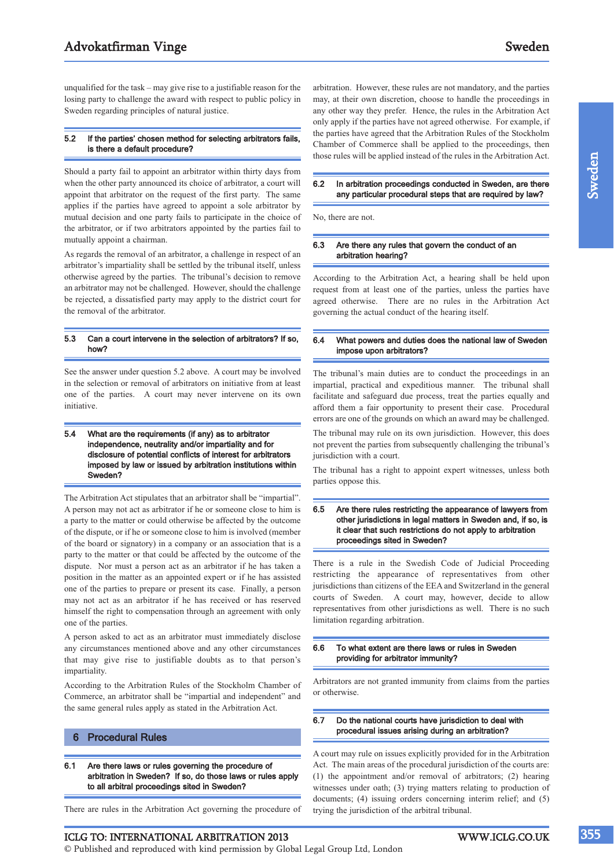unqualified for the task – may give rise to a justifiable reason for the losing party to challenge the award with respect to public policy in Sweden regarding principles of natural justice.

#### 5.2 If the parties' chosen method for selecting arbitrators fails, is there a default procedure?

Should a party fail to appoint an arbitrator within thirty days from when the other party announced its choice of arbitrator, a court will appoint that arbitrator on the request of the first party. The same applies if the parties have agreed to appoint a sole arbitrator by mutual decision and one party fails to participate in the choice of the arbitrator, or if two arbitrators appointed by the parties fail to mutually appoint a chairman.

As regards the removal of an arbitrator, a challenge in respect of an arbitrator's impartiality shall be settled by the tribunal itself, unless otherwise agreed by the parties. The tribunal's decision to remove an arbitrator may not be challenged. However, should the challenge be rejected, a dissatisfied party may apply to the district court for the removal of the arbitrator.

#### 5.3 Can a court intervene in the selection of arbitrators? If so, how?

See the answer under question 5.2 above. A court may be involved in the selection or removal of arbitrators on initiative from at least one of the parties. A court may never intervene on its own initiative.

#### 5.4 What are the requirements (if any) as to arbitrator independence, neutrality and/or impartiality and for disclosure of potential conflicts of interest for arbitrators imposed by law or issued by arbitration institutions within Sweden?

The Arbitration Act stipulates that an arbitrator shall be "impartial". A person may not act as arbitrator if he or someone close to him is a party to the matter or could otherwise be affected by the outcome of the dispute, or if he or someone close to him is involved (member of the board or signatory) in a company or an association that is a party to the matter or that could be affected by the outcome of the dispute. Nor must a person act as an arbitrator if he has taken a position in the matter as an appointed expert or if he has assisted one of the parties to prepare or present its case. Finally, a person may not act as an arbitrator if he has received or has reserved himself the right to compensation through an agreement with only one of the parties.

A person asked to act as an arbitrator must immediately disclose any circumstances mentioned above and any other circumstances that may give rise to justifiable doubts as to that person's impartiality.

According to the Arbitration Rules of the Stockholm Chamber of Commerce, an arbitrator shall be "impartial and independent" and the same general rules apply as stated in the Arbitration Act.

#### 6 Procedural Rules

6.1 Are there laws or rules governing the procedure of arbitration in Sweden? If so, do those laws or rules apply to all arbitral proceedings sited in Sweden?

There are rules in the Arbitration Act governing the procedure of

© Published and reproduced with kind permission by Global Legal Group Ltd, London

arbitration. However, these rules are not mandatory, and the parties may, at their own discretion, choose to handle the proceedings in any other way they prefer. Hence, the rules in the Arbitration Act only apply if the parties have not agreed otherwise. For example, if the parties have agreed that the Arbitration Rules of the Stockholm Chamber of Commerce shall be applied to the proceedings, then those rules will be applied instead of the rules in the Arbitration Act.

#### 6.2 In arbitration proceedings conducted in Sweden, are there any particular procedural steps that are required by law?

No, there are not.

#### 6.3 Are there any rules that govern the conduct of an arbitration hearing?

According to the Arbitration Act, a hearing shall be held upon request from at least one of the parties, unless the parties have agreed otherwise. There are no rules in the Arbitration Act governing the actual conduct of the hearing itself.

#### 6.4 What powers and duties does the national law of Sweden impose upon arbitrators?

The tribunal's main duties are to conduct the proceedings in an impartial, practical and expeditious manner. The tribunal shall facilitate and safeguard due process, treat the parties equally and afford them a fair opportunity to present their case. Procedural errors are one of the grounds on which an award may be challenged.

The tribunal may rule on its own jurisdiction. However, this does not prevent the parties from subsequently challenging the tribunal's jurisdiction with a court.

The tribunal has a right to appoint expert witnesses, unless both parties oppose this.

#### 6.5 Are there rules restricting the appearance of lawyers from other jurisdictions in legal matters in Sweden and, if so, is it clear that such restrictions do not apply to arbitration proceedings sited in Sweden?

There is a rule in the Swedish Code of Judicial Proceeding restricting the appearance of representatives from other jurisdictions than citizens of the EEA and Switzerland in the general courts of Sweden. A court may, however, decide to allow representatives from other jurisdictions as well. There is no such limitation regarding arbitration.

#### 6.6 To what extent are there laws or rules in Sweden providing for arbitrator immunity?

Arbitrators are not granted immunity from claims from the parties or otherwise.

#### 6.7 Do the national courts have jurisdiction to deal with procedural issues arising during an arbitration?

A court may rule on issues explicitly provided for in the Arbitration Act. The main areas of the procedural jurisdiction of the courts are: (1) the appointment and/or removal of arbitrators; (2) hearing witnesses under oath; (3) trying matters relating to production of documents; (4) issuing orders concerning interim relief; and (5) trying the jurisdiction of the arbitral tribunal.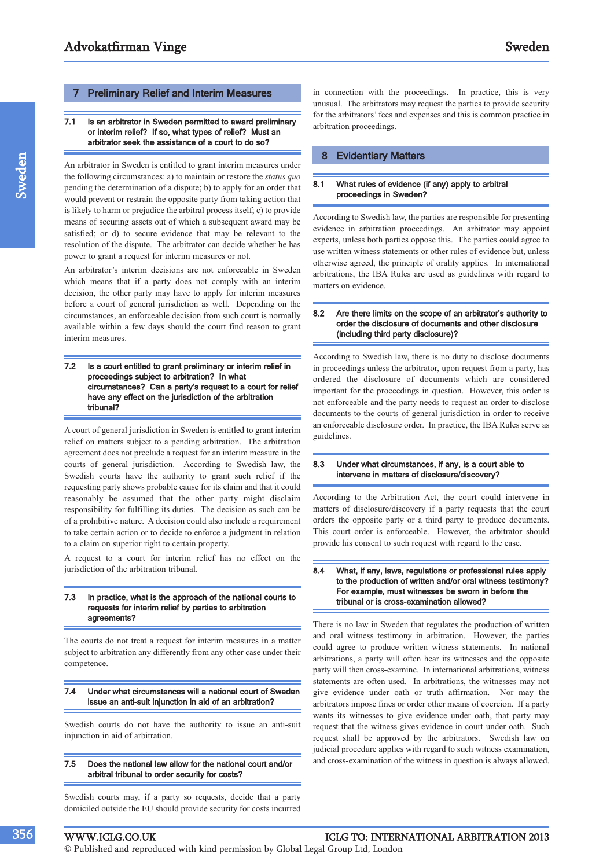#### 7 Preliminary Relief and Interim Measures

#### 7.1 Is an arbitrator in Sweden permitted to award preliminary or interim relief? If so, what types of relief? Must an arbitrator seek the assistance of a court to do so?

An arbitrator in Sweden is entitled to grant interim measures under the following circumstances: a) to maintain or restore the *status quo* pending the determination of a dispute; b) to apply for an order that would prevent or restrain the opposite party from taking action that is likely to harm or prejudice the arbitral process itself; c) to provide means of securing assets out of which a subsequent award may be satisfied; or d) to secure evidence that may be relevant to the resolution of the dispute. The arbitrator can decide whether he has power to grant a request for interim measures or not.

An arbitrator's interim decisions are not enforceable in Sweden which means that if a party does not comply with an interim decision, the other party may have to apply for interim measures before a court of general jurisdiction as well. Depending on the circumstances, an enforceable decision from such court is normally available within a few days should the court find reason to grant interim measures.

#### 7.2 Is a court entitled to grant preliminary or interim relief in proceedings subject to arbitration? In what circumstances? Can a party's request to a court for relief have any effect on the jurisdiction of the arbitration tribunal?

A court of general jurisdiction in Sweden is entitled to grant interim relief on matters subject to a pending arbitration. The arbitration agreement does not preclude a request for an interim measure in the courts of general jurisdiction. According to Swedish law, the Swedish courts have the authority to grant such relief if the requesting party shows probable cause for its claim and that it could reasonably be assumed that the other party might disclaim responsibility for fulfilling its duties. The decision as such can be of a prohibitive nature. A decision could also include a requirement to take certain action or to decide to enforce a judgment in relation to a claim on superior right to certain property.

A request to a court for interim relief has no effect on the jurisdiction of the arbitration tribunal.

#### 7.3 In practice, what is the approach of the national courts to requests for interim relief by parties to arbitration agreements?

The courts do not treat a request for interim measures in a matter subject to arbitration any differently from any other case under their competence.

#### 7.4 Under what circumstances will a national court of Sweden issue an anti-suit injunction in aid of an arbitration?

Swedish courts do not have the authority to issue an anti-suit injunction in aid of arbitration.

#### 7.5 Does the national law allow for the national court and/or arbitral tribunal to order security for costs?

Swedish courts may, if a party so requests, decide that a party domiciled outside the EU should provide security for costs incurred in connection with the proceedings. In practice, this is very unusual. The arbitrators may request the parties to provide security for the arbitrators' fees and expenses and this is common practice in arbitration proceedings.

#### 8 Evidentiary Matters

#### 8.1 What rules of evidence (if any) apply to arbitral proceedings in Sweden?

According to Swedish law, the parties are responsible for presenting evidence in arbitration proceedings. An arbitrator may appoint experts, unless both parties oppose this. The parties could agree to use written witness statements or other rules of evidence but, unless otherwise agreed, the principle of orality applies. In international arbitrations, the IBA Rules are used as guidelines with regard to matters on evidence.

#### 8.2 Are there limits on the scope of an arbitrator's authority to order the disclosure of documents and other disclosure (including third party disclosure)?

According to Swedish law, there is no duty to disclose documents in proceedings unless the arbitrator, upon request from a party, has ordered the disclosure of documents which are considered important for the proceedings in question. However, this order is not enforceable and the party needs to request an order to disclose documents to the courts of general jurisdiction in order to receive an enforceable disclosure order. In practice, the IBA Rules serve as guidelines.

#### 8.3 Under what circumstances, if any, is a court able to intervene in matters of disclosure/discovery?

According to the Arbitration Act, the court could intervene in matters of disclosure/discovery if a party requests that the court orders the opposite party or a third party to produce documents. This court order is enforceable. However, the arbitrator should provide his consent to such request with regard to the case.

#### 8.4 What, if any, laws, regulations or professional rules apply to the production of written and/or oral witness testimony? For example, must witnesses be sworn in before the tribunal or is cross-examination allowed?

There is no law in Sweden that regulates the production of written and oral witness testimony in arbitration. However, the parties could agree to produce written witness statements. In national arbitrations, a party will often hear its witnesses and the opposite party will then cross-examine. In international arbitrations, witness statements are often used. In arbitrations, the witnesses may not give evidence under oath or truth affirmation. Nor may the arbitrators impose fines or order other means of coercion. If a party wants its witnesses to give evidence under oath, that party may request that the witness gives evidence in court under oath. Such request shall be approved by the arbitrators. Swedish law on judicial procedure applies with regard to such witness examination, and cross-examination of the witness in question is always allowed.

#### WWW.ICLG.CO.UK ICLG TO: INTERNATIONAL ARBITRATION 2013

© Published and reproduced with kind permission by Global Legal Group Ltd, London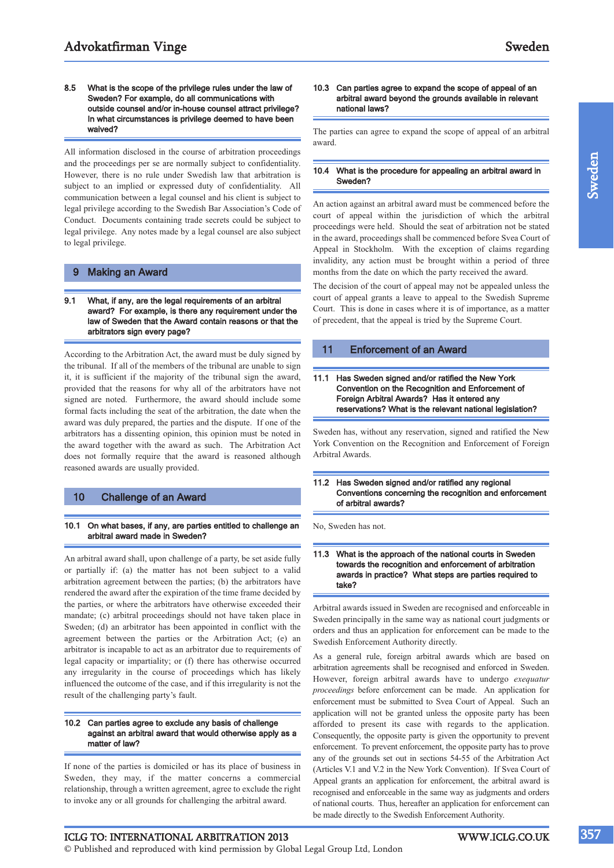8.5 What is the scope of the privilege rules under the law of Sweden? For example, do all communications with outside counsel and/or in-house counsel attract privilege? In what circumstances is privilege deemed to have been waived?

All information disclosed in the course of arbitration proceedings and the proceedings per se are normally subject to confidentiality. However, there is no rule under Swedish law that arbitration is subject to an implied or expressed duty of confidentiality. All communication between a legal counsel and his client is subject to legal privilege according to the Swedish Bar Association's Code of Conduct. Documents containing trade secrets could be subject to legal privilege. Any notes made by a legal counsel are also subject to legal privilege.

#### 9 Making an Award

#### 9.1 What, if any, are the legal requirements of an arbitral award? For example, is there any requirement under the law of Sweden that the Award contain reasons or that the arbitrators sign every page?

According to the Arbitration Act, the award must be duly signed by the tribunal. If all of the members of the tribunal are unable to sign it, it is sufficient if the majority of the tribunal sign the award, provided that the reasons for why all of the arbitrators have not signed are noted. Furthermore, the award should include some formal facts including the seat of the arbitration, the date when the award was duly prepared, the parties and the dispute. If one of the arbitrators has a dissenting opinion, this opinion must be noted in the award together with the award as such. The Arbitration Act does not formally require that the award is reasoned although reasoned awards are usually provided.

#### 10 Challenge of an Award

#### 10.1 On what bases, if any, are parties entitled to challenge an arbitral award made in Sweden?

An arbitral award shall, upon challenge of a party, be set aside fully or partially if: (a) the matter has not been subject to a valid arbitration agreement between the parties; (b) the arbitrators have rendered the award after the expiration of the time frame decided by the parties, or where the arbitrators have otherwise exceeded their mandate; (c) arbitral proceedings should not have taken place in Sweden; (d) an arbitrator has been appointed in conflict with the agreement between the parties or the Arbitration Act; (e) an arbitrator is incapable to act as an arbitrator due to requirements of legal capacity or impartiality; or (f) there has otherwise occurred any irregularity in the course of proceedings which has likely influenced the outcome of the case, and if this irregularity is not the result of the challenging party's fault.

#### 10.2 Can parties agree to exclude any basis of challenge against an arbitral award that would otherwise apply as a matter of law?

If none of the parties is domiciled or has its place of business in Sweden, they may, if the matter concerns a commercial relationship, through a written agreement, agree to exclude the right to invoke any or all grounds for challenging the arbitral award.

#### 10.3 Can parties agree to expand the scope of appeal of an arbitral award beyond the grounds available in relevant national laws?

The parties can agree to expand the scope of appeal of an arbitral award.

#### 10.4 What is the procedure for appealing an arbitral award in Sweden?

An action against an arbitral award must be commenced before the court of appeal within the jurisdiction of which the arbitral proceedings were held. Should the seat of arbitration not be stated in the award, proceedings shall be commenced before Svea Court of Appeal in Stockholm. With the exception of claims regarding invalidity, any action must be brought within a period of three months from the date on which the party received the award.

The decision of the court of appeal may not be appealed unless the court of appeal grants a leave to appeal to the Swedish Supreme Court. This is done in cases where it is of importance, as a matter of precedent, that the appeal is tried by the Supreme Court.

#### 11 Enforcement of an Award

#### 11.1 Has Sweden signed and/or ratified the New York Convention on the Recognition and Enforcement of Foreign Arbitral Awards? Has it entered any reservations? What is the relevant national legislation?

Sweden has, without any reservation, signed and ratified the New York Convention on the Recognition and Enforcement of Foreign Arbitral Awards.

#### 11.2 Has Sweden signed and/or ratified any regional Conventions concerning the recognition and enforcement of arbitral awards?

No, Sweden has not.

#### 11.3 What is the approach of the national courts in Sweden towards the recognition and enforcement of arbitration awards in practice? What steps are parties required to take?

Arbitral awards issued in Sweden are recognised and enforceable in Sweden principally in the same way as national court judgments or orders and thus an application for enforcement can be made to the Swedish Enforcement Authority directly.

As a general rule, foreign arbitral awards which are based on arbitration agreements shall be recognised and enforced in Sweden. However, foreign arbitral awards have to undergo *exequatur proceedings* before enforcement can be made. An application for enforcement must be submitted to Svea Court of Appeal. Such an application will not be granted unless the opposite party has been afforded to present its case with regards to the application. Consequently, the opposite party is given the opportunity to prevent enforcement. To prevent enforcement, the opposite party has to prove any of the grounds set out in sections 54-55 of the Arbitration Act (Articles V.1 and V.2 in the New York Convention). If Svea Court of Appeal grants an application for enforcement, the arbitral award is recognised and enforceable in the same way as judgments and orders of national courts. Thus, hereafter an application for enforcement can be made directly to the Swedish Enforcement Authority.

ICLG TO: INTERNATIONAL ARBITRATION 2013 WWW.ICLG.CO.UK

© Published and reproduced with kind permission by Global Legal Group Ltd, London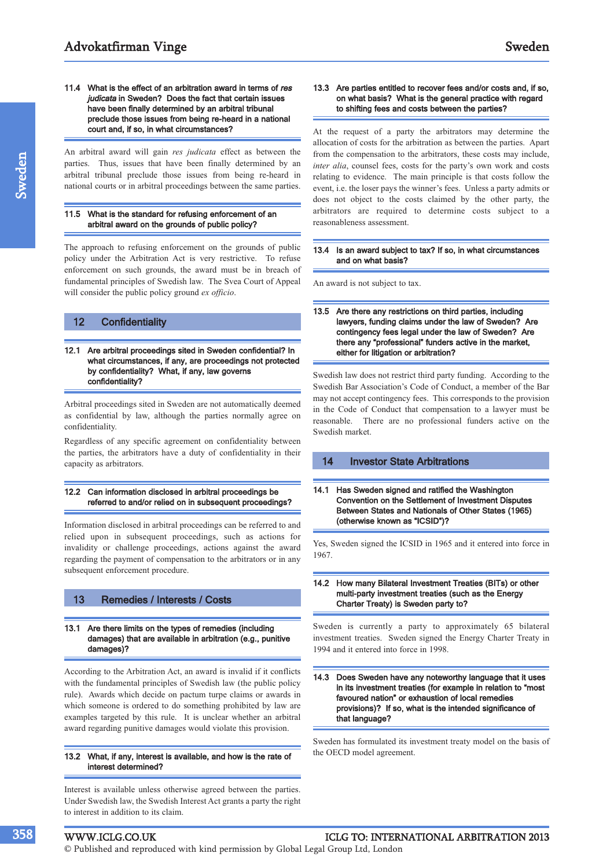11.4 What is the effect of an arbitration award in terms of res judicata in Sweden? Does the fact that certain issues have been finally determined by an arbitral tribunal preclude those issues from being re-heard in a national court and, if so, in what circumstances?

An arbitral award will gain *res judicata* effect as between the parties. Thus, issues that have been finally determined by an arbitral tribunal preclude those issues from being re-heard in national courts or in arbitral proceedings between the same parties.

#### 11.5 What is the standard for refusing enforcement of an arbitral award on the grounds of public policy?

The approach to refusing enforcement on the grounds of public policy under the Arbitration Act is very restrictive. To refuse enforcement on such grounds, the award must be in breach of fundamental principles of Swedish law. The Svea Court of Appeal will consider the public policy ground *ex officio*.

#### 12 Confidentiality

12.1 Are arbitral proceedings sited in Sweden confidential? In what circumstances, if any, are proceedings not protected by confidentiality? What, if any, law governs confidentiality?

Arbitral proceedings sited in Sweden are not automatically deemed as confidential by law, although the parties normally agree on confidentiality.

Regardless of any specific agreement on confidentiality between the parties, the arbitrators have a duty of confidentiality in their capacity as arbitrators.

#### 12.2 Can information disclosed in arbitral proceedings be referred to and/or relied on in subsequent proceedings?

Information disclosed in arbitral proceedings can be referred to and relied upon in subsequent proceedings, such as actions for invalidity or challenge proceedings, actions against the award regarding the payment of compensation to the arbitrators or in any subsequent enforcement procedure.

#### 13 Remedies / Interests / Costs

#### 13.1 Are there limits on the types of remedies (including damages) that are available in arbitration (e.g., punitive damages)?

According to the Arbitration Act, an award is invalid if it conflicts with the fundamental principles of Swedish law (the public policy rule). Awards which decide on pactum turpe claims or awards in which someone is ordered to do something prohibited by law are examples targeted by this rule. It is unclear whether an arbitral award regarding punitive damages would violate this provision.

#### 13.2 What, if any, interest is available, and how is the rate of interest determined?

Interest is available unless otherwise agreed between the parties. Under Swedish law, the Swedish Interest Act grants a party the right to interest in addition to its claim.

#### 13.3 Are parties entitled to recover fees and/or costs and, if so, on what basis? What is the general practice with regard to shifting fees and costs between the parties?

At the request of a party the arbitrators may determine the allocation of costs for the arbitration as between the parties. Apart from the compensation to the arbitrators, these costs may include, *inter alia*, counsel fees, costs for the party's own work and costs relating to evidence. The main principle is that costs follow the event, i.e. the loser pays the winner's fees. Unless a party admits or does not object to the costs claimed by the other party, the arbitrators are required to determine costs subject to a reasonableness assessment.

#### 13.4 Is an award subject to tax? If so, in what circumstances and on what basis?

An award is not subject to tax.

13.5 Are there any restrictions on third parties, including lawyers, funding claims under the law of Sweden? Are contingency fees legal under the law of Sweden? Are there any "professional" funders active in the market, either for litigation or arbitration?

Swedish law does not restrict third party funding. According to the Swedish Bar Association's Code of Conduct, a member of the Bar may not accept contingency fees. This corresponds to the provision in the Code of Conduct that compensation to a lawyer must be reasonable. There are no professional funders active on the Swedish market.

#### 14 Investor State Arbitrations

14.1 Has Sweden signed and ratified the Washington Convention on the Settlement of Investment Disputes Between States and Nationals of Other States (1965) (otherwise known as "ICSID")?

Yes, Sweden signed the ICSID in 1965 and it entered into force in 1967.

#### 14.2 How many Bilateral Investment Treaties (BITs) or other multi-party investment treaties (such as the Energy Charter Treaty) is Sweden party to?

Sweden is currently a party to approximately 65 bilateral investment treaties. Sweden signed the Energy Charter Treaty in 1994 and it entered into force in 1998.

#### 14.3 Does Sweden have any noteworthy language that it uses in its investment treaties (for example in relation to "most favoured nation" or exhaustion of local remedies provisions)? If so, what is the intended significance of that language?

Sweden has formulated its investment treaty model on the basis of the OECD model agreement.

#### WWW.ICLG.CO.UK ICLG TO: INTERNATIONAL ARBITRATION 2013

© Published and reproduced with kind permission by Global Legal Group Ltd, London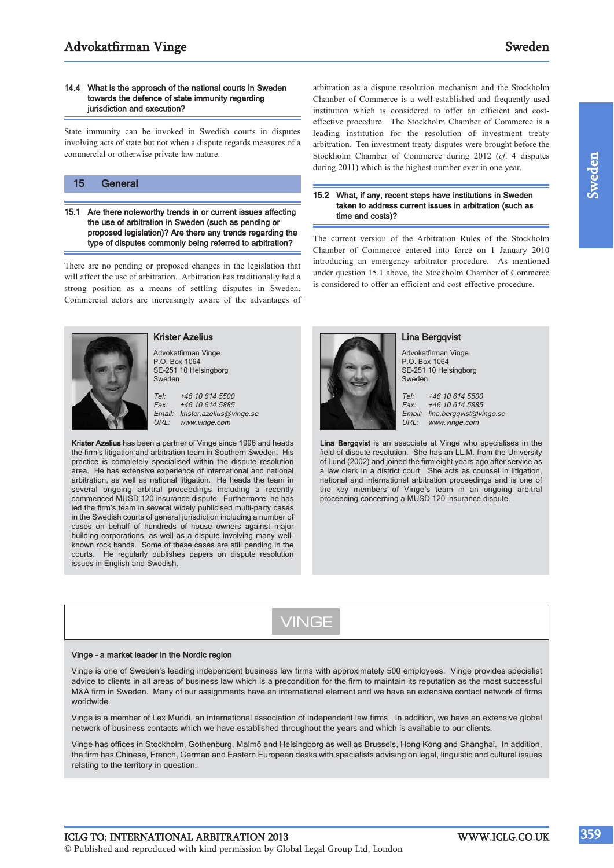#### 14.4 What is the approach of the national courts in Sweden towards the defence of state immunity regarding jurisdiction and execution?

State immunity can be invoked in Swedish courts in disputes involving acts of state but not when a dispute regards measures of a commercial or otherwise private law nature.

#### 15 General

15.1 Are there noteworthy trends in or current issues affecting the use of arbitration in Sweden (such as pending or proposed legislation)? Are there any trends regarding the type of disputes commonly being referred to arbitration?

There are no pending or proposed changes in the legislation that will affect the use of arbitration. Arbitration has traditionally had a strong position as a means of settling disputes in Sweden. Commercial actors are increasingly aware of the advantages of



#### Krister Azelius

Advokatfirman Vinge P.O. Box 1064 SE-251 10 Helsingborg Sweden

Tel: +46 10 614 5500 Fax: +46 10 614 5885 Email: krister.azelius@vinge.se<br>URL: www.vinge.com www.vinge.com

Krister Azelius has been a partner of Vinge since 1996 and heads the firm's litigation and arbitration team in Southern Sweden. His practice is completely specialised within the dispute resolution area. He has extensive experience of international and national arbitration, as well as national litigation. He heads the team in several ongoing arbitral proceedings including a recently commenced MUSD 120 insurance dispute. Furthermore, he has led the firm's team in several widely publicised multi-party cases in the Swedish courts of general jurisdiction including a number of cases on behalf of hundreds of house owners against major building corporations, as well as a dispute involving many wellknown rock bands. Some of these cases are still pending in the courts. He regularly publishes papers on dispute resolution issues in English and Swedish.

arbitration as a dispute resolution mechanism and the Stockholm Chamber of Commerce is a well-established and frequently used institution which is considered to offer an efficient and costeffective procedure. The Stockholm Chamber of Commerce is a leading institution for the resolution of investment treaty arbitration. Ten investment treaty disputes were brought before the Stockholm Chamber of Commerce during 2012 (*cf*. 4 disputes during 2011) which is the highest number ever in one year.

#### 15.2 What, if any, recent steps have institutions in Sweden taken to address current issues in arbitration (such as time and costs)?

The current version of the Arbitration Rules of the Stockholm Chamber of Commerce entered into force on 1 January 2010 introducing an emergency arbitrator procedure. As mentioned under question 15.1 above, the Stockholm Chamber of Commerce is considered to offer an efficient and cost-effective procedure.



#### Lina Bergqvist

Advokatfirman Vinge P.O. Box 1064 SE-251 10 Helsingborg Sweden

Tel: +46 10 614 5500 Fax: +46 10 614 5885 Email: lina.bergqvist@vinge.se<br>URL: www.vinge.com www.vinge.com

Lina Bergqvist is an associate at Vinge who specialises in the field of dispute resolution. She has an LL.M. from the University of Lund (2002) and joined the firm eight years ago after service as a law clerk in a district court. She acts as counsel in litigation, national and international arbitration proceedings and is one of the key members of Vinge's team in an ongoing arbitral proceeding concerning a MUSD 120 insurance dispute.

VINGE

#### Vinge – a market leader in the Nordic region

Vinge is one of Sweden's leading independent business law firms with approximately 500 employees. Vinge provides specialist advice to clients in all areas of business law which is a precondition for the firm to maintain its reputation as the most successful M&A firm in Sweden. Many of our assignments have an international element and we have an extensive contact network of firms worldwide.

Vinge is a member of Lex Mundi, an international association of independent law firms. In addition, we have an extensive global network of business contacts which we have established throughout the years and which is available to our clients.

Vinge has offices in Stockholm, Gothenburg, Malmö and Helsingborg as well as Brussels, Hong Kong and Shanghai. In addition, the firm has Chinese, French, German and Eastern European desks with specialists advising on legal, linguistic and cultural issues relating to the territory in question.

ICLG TO: INTERNATIONAL ARBITRATION 2013 WWW.ICLG.CO.UK